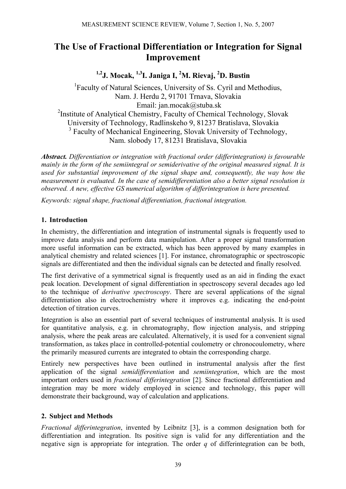# **The Use of Fractional Differentiation or Integration for Signal Improvement**

**1,2J. Mocak, 1,3I. Janiga I, 2 M. Rievaj, <sup>2</sup> D. Bustin** 

<sup>1</sup>Faculty of Natural Sciences, University of Ss. Cyril and Methodius, Nam. J. Herdu 2, 91701 Trnava, Slovakia Email: jan.mocak@stuba.sk <sup>2</sup>Institute of Analytical Chemistry, Faculty of Chemical Technology, Slovak University of Technology, Radlinskeho 9, 81237 Bratislava, Slovakia <sup>3</sup> Faculty of Mechanical Engineering, Slovak University of Technology, Nam. slobody 17, 81231 Bratislava, Slovakia

*Abstract. Differentiation or integration with fractional order (differintegration) is favourable mainly in the form of the semiintegral or semiderivative of the original measured signal. It is used for substantial improvement of the signal shape and, consequently, the way how the measurement is evaluated. In the case of semidifferentiation also a better signal resolution is observed. A new, effective GS numerical algorithm of differintegration is here presented.* 

*Keywords: signal shape, fractional differentiation, fractional integration.* 

## **1. Introduction**

In chemistry, the differentiation and integration of instrumental signals is frequently used to improve data analysis and perform data manipulation. After a proper signal transformation more useful information can be extracted, which has been approved by many examples in analytical chemistry and related sciences [1]. For instance, chromatographic or spectroscopic signals are differentiated and then the individual signals can be detected and finally resolved.

The first derivative of a symmetrical signal is frequently used as an aid in finding the exact peak location. Development of signal differentiation in spectroscopy several decades ago led to the technique of *derivative spectroscopy*. There are several applications of the signal differentiation also in electrochemistry where it improves e.g. indicating the end-point detection of titration curves.

Integration is also an essential part of several techniques of instrumental analysis. It is used for quantitative analysis, e.g. in chromatography, flow injection analysis, and stripping analysis, where the peak areas are calculated. Alternatively, it is used for a convenient signal transformation, as takes place in controlled-potential coulometry or chronocoulometry, where the primarily measured currents are integrated to obtain the corresponding charge.

Entirely new perspectives have been outlined in instrumental analysis after the first application of the signal *semidifferentiation* and *semiintegration*, which are the most important orders used in *fractional differintegration* [2]. Since fractional differentiation and integration may be more widely employed in science and technology, this paper will demonstrate their background, way of calculation and applications.

## **2. Subject and Methods**

*Fractional differintegration*, invented by Leibnitz [3], is a common designation both for differentiation and integration. Its positive sign is valid for any differentiation and the negative sign is appropriate for integration. The order *q* of differintegration can be both,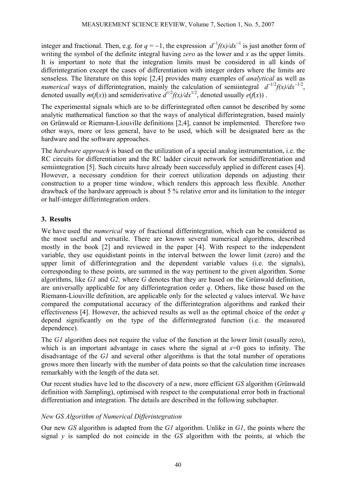integer and fractional. Then, e.g. for  $q = -1$ , the expression  $d^{-1}f(x)/dx^{-1}$  is just another form of writing the symbol of the definite integral having *zero* as the lower and *x* as the upper limits. It is important to note that the integration limits must be considered in all kinds of differintegration except the cases of differentiation with integer orders where the limits are senseless. The literature on this topic [2,4] provides many examples of *analytical* as well as *numerical* ways of differintegration, mainly the calculation of semiintegral  $d^{-1/2}f(x)/dx^{-1/2}$ . denoted usually  $m(f(x))$  and semiderivative  $d^{1/2}f(x)/dx^{1/2}$ , denoted usually  $e(f(x))$ .

The experimental signals which are to be differintegrated often cannot be described by some analytic mathematical function so that the ways of analytical differintegration, based mainly on Grünwald or Riemann-Liouville definitions [2,4], cannot be implemented. Therefore two other ways, more or less general, have to be used, which will be designated here as the hardware and the software approaches.

The *hardware approach* is based on the utilization of a special analog instrumentation, i.e. the RC circuits for differentiation and the RC ladder circuit network for semidifferentiation and semiintegration [5]. Such circuits have already been successfuly applied in different cases [4]. However, a necessary condition for their correct utilization depends on adjusting their construction to a proper time window, which renders this approach less flexible. Another drawback of the hardware approach is about 5 % relative error and its limitation to the integer or half-integer differintegration orders.

## **3. Results**

We have used the *numerical* way of fractional differintegration, which can be considered as the most useful and versatile. There are known several numerical algorithms, described mostly in the book [2] and reviewed in the paper [4]. With respect to the independent variable, they use equidistant points in the interval between the lower limit (zero) and the upper limit of differintegration and the dependent variable values (i.e. the signals), corresponding to these points, are summed in the way pertinent to the given algorithm. Some algorithms, like *G1* and *G2,* where *G* denotes that they are based on the Grünwald definition, are universally applicable for any differintegration order *q*. Others, like those based on the Riemann-Liouville definition, are applicable only for the selected *q* values interval. We have compared the computational accuracy of the differintegration algorithms and ranked their effectiveness [4]. However, the achieved results as well as the optimal choice of the order *q* depend significantly on the type of the differintegrated function (i.e. the measured dependence).

The *G1* algorithm does not require the value of the function at the lower limit (usually zero), which is an important advantage in cases where the signal at  $x=0$  goes to infinity. The disadvantage of the *G1* and several other algorithms is that the total number of operations grows more then linearly with the number of data points so that the calculation time increases remarkably with the length of the data set.

Our recent studies have led to the discovery of a new, more efficient *GS* algorithm (*G*rünwald definition with *S*ampling), optimised with respect to the computational error both in fractional differentiation and integration. The details are described in the following subchapter.

## *New GS Algorithm of Numerical Differintegration*

Our new *GS* algorithm is adapted from the *G1* algorithm. Unlike in *G1*, the points where the signal *y* is sampled do not coincide in the *GS* algorithm with the points, at which the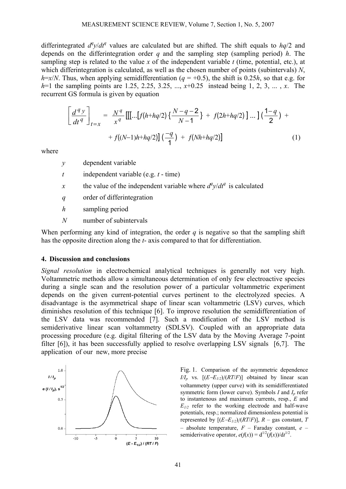differintegrated  $d^q y/dt^q$  values are calculated but are shifted. The shift equals to  $hq/2$  and depends on the differintegration order *q* and the sampling step (sampling period) *h*. The sampling step is related to the value *x* of the independent variable *t* (time, potential, etc.), at which differintegration is calculated, as well as the chosen number of points (subintervals) *N*, *h*= $x/N$ . Thus, when applying semidifferentiation (*q* = +0.5), the shift is 0.25*h*, so that e.g. for *h*=1 the sampling points are 1.25, 2.25, 3.25, ...,  $x+0.25$  instead being 1, 2, 3, ..., *x*. The recurrent GS formula is given by equation

$$
\left[\frac{d^q y}{dt^q}\right]_{t=x} = \frac{N^q}{x^q} \left[\left[ \left[ \dots [f(h+hq/2) \left\{ \frac{N-q-2}{N-1} \right\} + f(2h+hq/2) \right\} \dots \right] \left( \frac{1-q}{2} \right) + \\ + f\left( (N-1)h + hq/2 \right) \left[ \left( \frac{-q}{1} \right) + f(Nh+hq/2) \right] \right] \tag{1}
$$

where

- *y* dependent variable
- *t* independent variable (e.g. *t* time)
- *x* the value of the independent variable where  $d^q y/dt^q$  is calculated
- *q* order of differintegration
- *h* sampling period
- *N* number of subintervals

When performing any kind of integration, the order  $q$  is negative so that the sampling shift has the opposite direction along the *t*- axis compared to that for differentiation.

#### **4. Discussion and conclusions**

*Signal resolution* in electrochemical analytical techniques is generally not very high. Voltammetric methods allow a simultaneous determination of only few electroactive species during a single scan and the resolution power of a particular voltammetric experiment depends on the given current-potential curves pertinent to the electrolyzed species. A disadvantage is the asymmetrical shape of linear scan voltammetric (LSV) curves, which diminishes resolution of this technique [6]. To improve resolution the semidifferentiation of the LSV data was recommended [7]. Such a modification of the LSV method is semiderivative linear scan voltammetry (SDLSV). Coupled with an appropriate data processing procedure (e.g. digital filtering of the LSV data by the Moving Average 7-point filter [6]), it has been successfully applied to resolve overlapping LSV signals [6,7]. The application of our new, more precise



Fig. 1. Comparison of the asymmetric dependence *I/I<sub>p</sub>* vs.  $[(E-E_{1/2})/(RT/F)]$  obtained by linear scan voltammetry (upper curve) with its semidifferentiated symmetric form (lower curve). Symbols  $I$  and  $I_p$  refer to instantenous and maximum currents, resp., *E* and  $E_{1/2}$  refer to the working electrode and half-wave potentials, resp.; normalized dimensionless potential is represented by  $[(E-E<sub>I/2</sub>)/(RT/F)]$ ,  $R$  – gas constant,  $T$ – absolute temperature, *F* – Faraday constant, *e* – semiderivative operator,  $e(f(x)) = d^{1/2}(f(x))/dt^{1/2}$ .